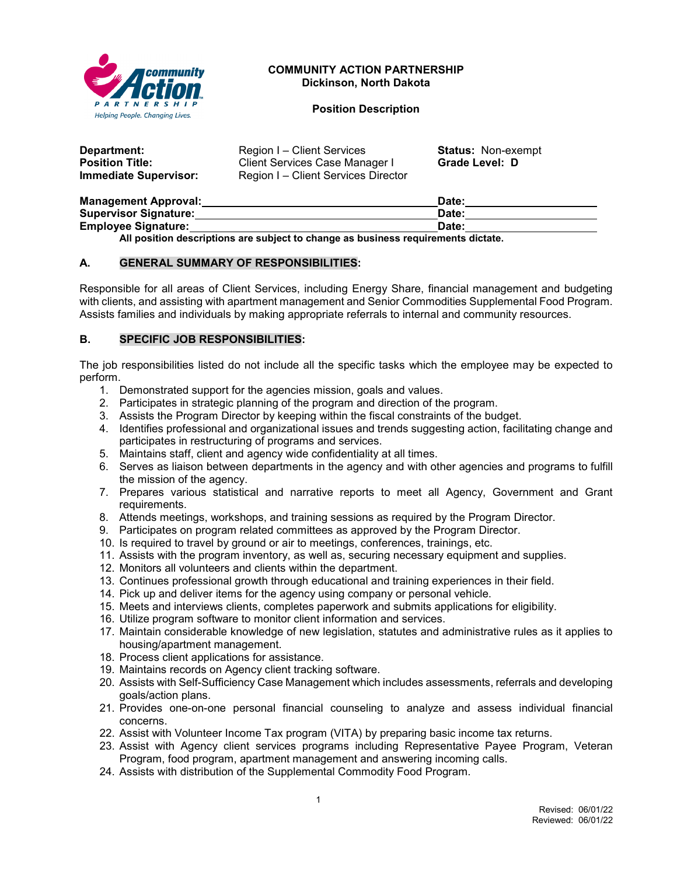

# **COMMUNITY ACTION PARTNERSHIP Dickinson, North Dakota**

#### **Position Description**

| Department:            | Region I – Client Services          | <b>Status: Non-exempt</b> |
|------------------------|-------------------------------------|---------------------------|
| <b>Position Title:</b> | Client Services Case Manager I      | Grade Level: D            |
| Immediate Supervisor:  | Region I – Client Services Director |                           |

| <b>Management Approval:</b>                                                       | Date: |  |
|-----------------------------------------------------------------------------------|-------|--|
| <b>Supervisor Signature:</b>                                                      | Date: |  |
| <b>Employee Signature:</b>                                                        | Date: |  |
| All position descriptions are subject to change as business requirements dictate. |       |  |

# **A. GENERAL SUMMARY OF RESPONSIBILITIES:**

Responsible for all areas of Client Services, including Energy Share, financial management and budgeting with clients, and assisting with apartment management and Senior Commodities Supplemental Food Program. Assists families and individuals by making appropriate referrals to internal and community resources.

# **B. SPECIFIC JOB RESPONSIBILITIES:**

The job responsibilities listed do not include all the specific tasks which the employee may be expected to perform.

- 1. Demonstrated support for the agencies mission, goals and values.
- 2. Participates in strategic planning of the program and direction of the program.
- 3. Assists the Program Director by keeping within the fiscal constraints of the budget.
- 4. Identifies professional and organizational issues and trends suggesting action, facilitating change and participates in restructuring of programs and services.
- 5. Maintains staff, client and agency wide confidentiality at all times.
- 6. Serves as liaison between departments in the agency and with other agencies and programs to fulfill the mission of the agency.
- 7. Prepares various statistical and narrative reports to meet all Agency, Government and Grant requirements.
- 8. Attends meetings, workshops, and training sessions as required by the Program Director.
- 9. Participates on program related committees as approved by the Program Director.
- 10. Is required to travel by ground or air to meetings, conferences, trainings, etc.
- 11. Assists with the program inventory, as well as, securing necessary equipment and supplies.
- 12. Monitors all volunteers and clients within the department.
- 13. Continues professional growth through educational and training experiences in their field.
- 14. Pick up and deliver items for the agency using company or personal vehicle.
- 15. Meets and interviews clients, completes paperwork and submits applications for eligibility.
- 16. Utilize program software to monitor client information and services.
- 17. Maintain considerable knowledge of new legislation, statutes and administrative rules as it applies to housing/apartment management.
- 18. Process client applications for assistance.
- 19. Maintains records on Agency client tracking software.
- 20. Assists with Self-Sufficiency Case Management which includes assessments, referrals and developing goals/action plans.
- 21. Provides one-on-one personal financial counseling to analyze and assess individual financial concerns.
- 22. Assist with Volunteer Income Tax program (VITA) by preparing basic income tax returns.
- 23. Assist with Agency client services programs including Representative Payee Program, Veteran Program, food program, apartment management and answering incoming calls.
- 24. Assists with distribution of the Supplemental Commodity Food Program.